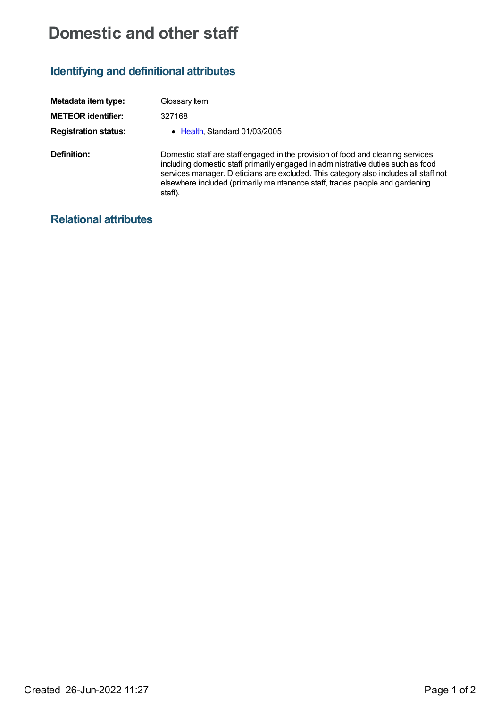## **Domestic and other staff**

## **Identifying and definitional attributes**

| Metadata item type:         | Glossary Item                                                                                                                                                                                                                                                                                                                                          |
|-----------------------------|--------------------------------------------------------------------------------------------------------------------------------------------------------------------------------------------------------------------------------------------------------------------------------------------------------------------------------------------------------|
| <b>METEOR identifier:</b>   | 327168                                                                                                                                                                                                                                                                                                                                                 |
| <b>Registration status:</b> | Health, Standard 01/03/2005                                                                                                                                                                                                                                                                                                                            |
| Definition:                 | Domestic staff are staff engaged in the provision of food and cleaning services<br>including domestic staff primarily engaged in administrative duties such as food<br>services manager. Dieticians are excluded. This category also includes all staff not<br>elsewhere included (primarily maintenance staff, trades people and gardening<br>staff). |

## **Relational attributes**